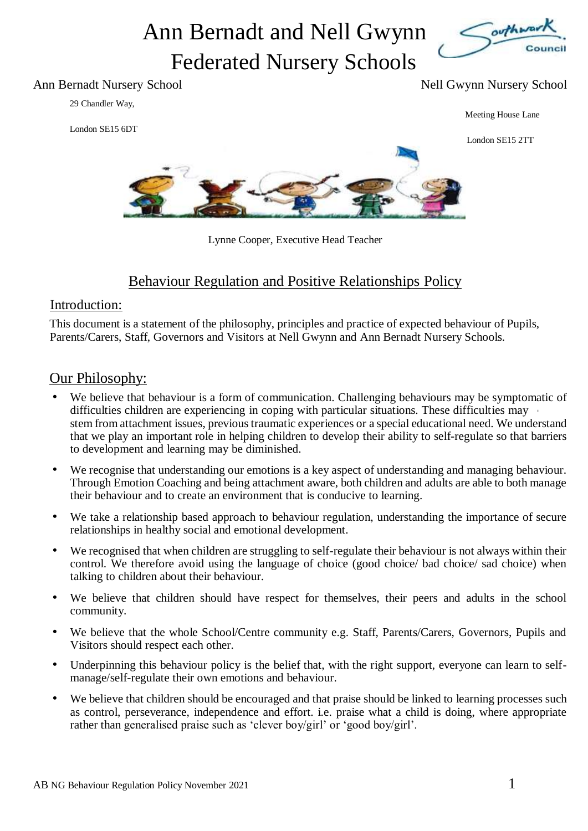# Ann Bernadt and Nell Gwynn Federated Nursery Schools



#### Ann Bernadt Nursery School Nell Gwynn Nursery School Nell Gwynn Nursery School

29 Chandler Way,

London SE15 6DT

Meeting House Lane

London SE15 2TT



Lynne Cooper, Executive Head Teacher

### Behaviour Regulation and Positive Relationships Policy

#### Introduction:

This document is a statement of the philosophy, principles and practice of expected behaviour of Pupils, Parents/Carers, Staff, Governors and Visitors at Nell Gwynn and Ann Bernadt Nursery Schools.

#### Our Philosophy:

- We believe that behaviour is a form of communication. Challenging behaviours may be symptomatic of difficulties children are experiencing in coping with particular situations. These difficulties may stem from attachment issues, previous traumatic experiences or a special educational need. We understand that we play an important role in helping children to develop their ability to self-regulate so that barriers to development and learning may be diminished.
- We recognise that understanding our emotions is a key aspect of understanding and managing behaviour. Through Emotion Coaching and being attachment aware, both children and adults are able to both manage their behaviour and to create an environment that is conducive to learning.
- We take a relationship based approach to behaviour regulation, understanding the importance of secure relationships in healthy social and emotional development.
- We recognised that when children are struggling to self-regulate their behaviour is not always within their control. We therefore avoid using the language of choice (good choice/ bad choice/ sad choice) when talking to children about their behaviour.
- We believe that children should have respect for themselves, their peers and adults in the school community.
- We believe that the whole School/Centre community e.g. Staff, Parents/Carers, Governors, Pupils and Visitors should respect each other.
- Underpinning this behaviour policy is the belief that, with the right support, everyone can learn to selfmanage/self-regulate their own emotions and behaviour.
- We believe that children should be encouraged and that praise should be linked to learning processes such as control, perseverance, independence and effort. i.e. praise what a child is doing, where appropriate rather than generalised praise such as 'clever boy/girl' or 'good boy/girl'.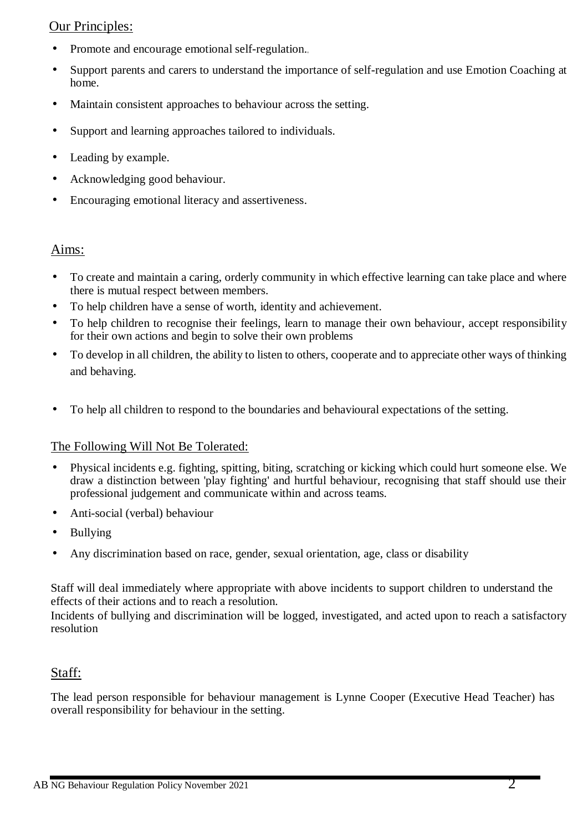#### Our Principles:

- Promote and encourage emotional self-regulation.
- Support parents and carers to understand the importance of self-regulation and use Emotion Coaching at home.
- Maintain consistent approaches to behaviour across the setting.
- Support and learning approaches tailored to individuals.
- Leading by example.
- Acknowledging good behaviour.
- Encouraging emotional literacy and assertiveness.

#### Aims:

- To create and maintain a caring, orderly community in which effective learning can take place and where there is mutual respect between members.
- To help children have a sense of worth, identity and achievement.
- To help children to recognise their feelings, learn to manage their own behaviour, accept responsibility for their own actions and begin to solve their own problems
- To develop in all children, the ability to listen to others, cooperate and to appreciate other ways of thinking and behaving.
- To help all children to respond to the boundaries and behavioural expectations of the setting.

#### The Following Will Not Be Tolerated:

- Physical incidents e.g. fighting, spitting, biting, scratching or kicking which could hurt someone else. We draw a distinction between 'play fighting' and hurtful behaviour, recognising that staff should use their professional judgement and communicate within and across teams.
- Anti-social (verbal) behaviour
- Bullying
- Any discrimination based on race, gender, sexual orientation, age, class or disability

Staff will deal immediately where appropriate with above incidents to support children to understand the effects of their actions and to reach a resolution.

Incidents of bullying and discrimination will be logged, investigated, and acted upon to reach a satisfactory resolution

#### Staff:

The lead person responsible for behaviour management is Lynne Cooper (Executive Head Teacher) has overall responsibility for behaviour in the setting.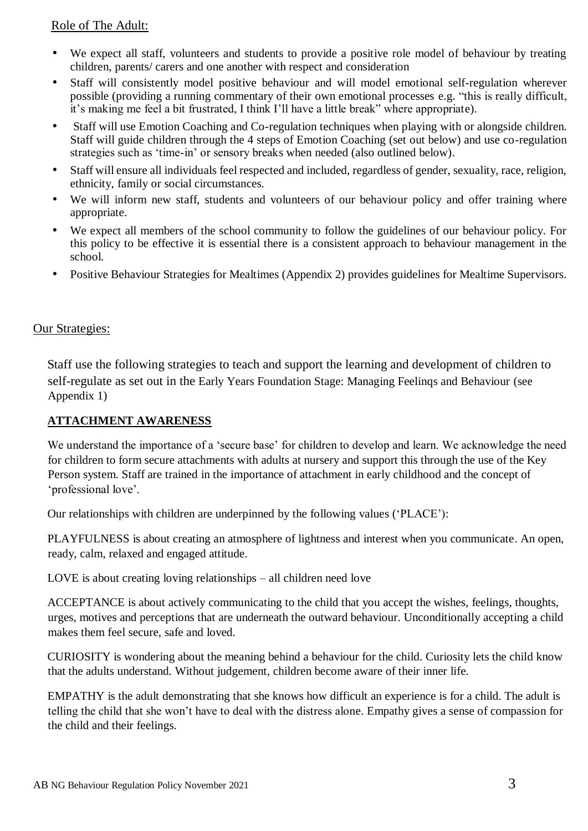#### Role of The Adult:

- We expect all staff, volunteers and students to provide a positive role model of behaviour by treating children, parents/ carers and one another with respect and consideration
- Staff will consistently model positive behaviour and will model emotional self-regulation wherever possible (providing a running commentary of their own emotional processes e.g. "this is really difficult, it's making me feel a bit frustrated, I think I'll have a little break" where appropriate).
- Staff will use Emotion Coaching and Co-regulation techniques when playing with or alongside children. Staff will guide children through the 4 steps of Emotion Coaching (set out below) and use co-regulation strategies such as 'time-in' or sensory breaks when needed (also outlined below).
- Staff will ensure all individuals feel respected and included, regardless of gender, sexuality, race, religion, ethnicity, family or social circumstances.
- We will inform new staff, students and volunteers of our behaviour policy and offer training where appropriate.
- We expect all members of the school community to follow the guidelines of our behaviour policy. For this policy to be effective it is essential there is a consistent approach to behaviour management in the school.
- Positive Behaviour Strategies for Mealtimes (Appendix 2) provides guidelines for Mealtime Supervisors.

#### Our Strategies:

Staff use the following strategies to teach and support the learning and development of children to self-regulate as set out in the Early Years Foundation Stage: Managing Feelinqs and Behaviour (see Appendix 1)

#### **ATTACHMENT AWARENESS**

We understand the importance of a 'secure base' for children to develop and learn. We acknowledge the need for children to form secure attachments with adults at nursery and support this through the use of the Key Person system. Staff are trained in the importance of attachment in early childhood and the concept of 'professional love'.

Our relationships with children are underpinned by the following values ('PLACE'):

PLAYFULNESS is about creating an atmosphere of lightness and interest when you communicate. An open, ready, calm, relaxed and engaged attitude.

LOVE is about creating loving relationships – all children need love

ACCEPTANCE is about actively communicating to the child that you accept the wishes, feelings, thoughts, urges, motives and perceptions that are underneath the outward behaviour. Unconditionally accepting a child makes them feel secure, safe and loved.

CURIOSITY is wondering about the meaning behind a behaviour for the child. Curiosity lets the child know that the adults understand. Without judgement, children become aware of their inner life.

EMPATHY is the adult demonstrating that she knows how difficult an experience is for a child. The adult is telling the child that she won't have to deal with the distress alone. Empathy gives a sense of compassion for the child and their feelings.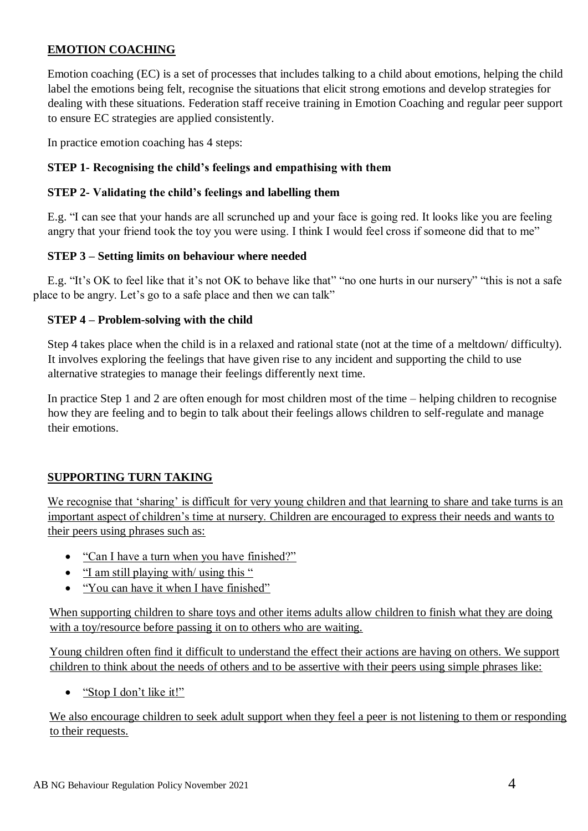#### **EMOTION COACHING**

Emotion coaching (EC) is a set of processes that includes talking to a child about emotions, helping the child label the emotions being felt, recognise the situations that elicit strong emotions and develop strategies for dealing with these situations. Federation staff receive training in Emotion Coaching and regular peer support to ensure EC strategies are applied consistently.

In practice emotion coaching has 4 steps:

#### **STEP 1- Recognising the child's feelings and empathising with them**

#### **STEP 2- Validating the child's feelings and labelling them**

E.g. "I can see that your hands are all scrunched up and your face is going red. It looks like you are feeling angry that your friend took the toy you were using. I think I would feel cross if someone did that to me"

#### **STEP 3 – Setting limits on behaviour where needed**

E.g. "It's OK to feel like that it's not OK to behave like that" "no one hurts in our nursery" "this is not a safe place to be angry. Let's go to a safe place and then we can talk"

#### **STEP 4 – Problem-solving with the child**

Step 4 takes place when the child is in a relaxed and rational state (not at the time of a meltdown/ difficulty). It involves exploring the feelings that have given rise to any incident and supporting the child to use alternative strategies to manage their feelings differently next time.

In practice Step 1 and 2 are often enough for most children most of the time – helping children to recognise how they are feeling and to begin to talk about their feelings allows children to self-regulate and manage their emotions.

#### **SUPPORTING TURN TAKING**

We recognise that 'sharing' is difficult for very young children and that learning to share and take turns is an important aspect of children's time at nursery. Children are encouraged to express their needs and wants to their peers using phrases such as:

- "Can I have a turn when you have finished?"
- "I am still playing with/ using this "
- "You can have it when I have finished"

When supporting children to share toys and other items adults allow children to finish what they are doing with a toy/resource before passing it on to others who are waiting.

Young children often find it difficult to understand the effect their actions are having on others. We support children to think about the needs of others and to be assertive with their peers using simple phrases like:

• "Stop I don't like it!"

We also encourage children to seek adult support when they feel a peer is not listening to them or responding to their requests.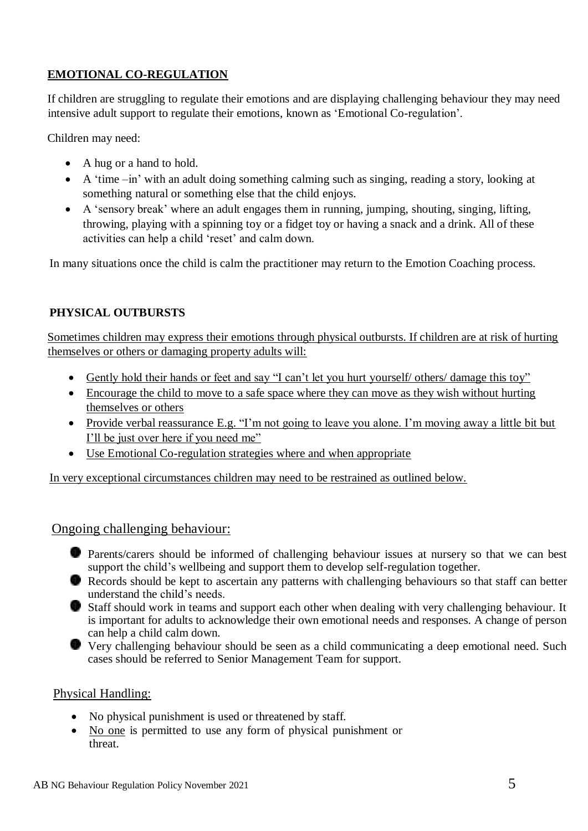#### **EMOTIONAL CO-REGULATION**

If children are struggling to regulate their emotions and are displaying challenging behaviour they may need intensive adult support to regulate their emotions, known as 'Emotional Co-regulation'.

Children may need:

- A hug or a hand to hold.
- A 'time –in' with an adult doing something calming such as singing, reading a story, looking at something natural or something else that the child enjoys.
- A 'sensory break' where an adult engages them in running, jumping, shouting, singing, lifting, throwing, playing with a spinning toy or a fidget toy or having a snack and a drink. All of these activities can help a child 'reset' and calm down.

In many situations once the child is calm the practitioner may return to the Emotion Coaching process.

#### **PHYSICAL OUTBURSTS**

Sometimes children may express their emotions through physical outbursts. If children are at risk of hurting themselves or others or damaging property adults will:

- Gently hold their hands or feet and say "I can't let you hurt yourself/ others/ damage this toy"
- Encourage the child to move to a safe space where they can move as they wish without hurting themselves or others
- Provide verbal reassurance E.g. "I'm not going to leave you alone. I'm moving away a little bit but I'll be just over here if you need me"
- Use Emotional Co-regulation strategies where and when appropriate

In very exceptional circumstances children may need to be restrained as outlined below.

#### Ongoing challenging behaviour:

- Parents/carers should be informed of challenging behaviour issues at nursery so that we can best support the child's wellbeing and support them to develop self-regulation together.
- Records should be kept to ascertain any patterns with challenging behaviours so that staff can better understand the child's needs.
- Staff should work in teams and support each other when dealing with very challenging behaviour. It is important for adults to acknowledge their own emotional needs and responses. A change of person can help a child calm down.
- Very challenging behaviour should be seen as a child communicating a deep emotional need. Such cases should be referred to Senior Management Team for support.

#### Physical Handling:

- No physical punishment is used or threatened by staff.
- No one is permitted to use any form of physical punishment or threat.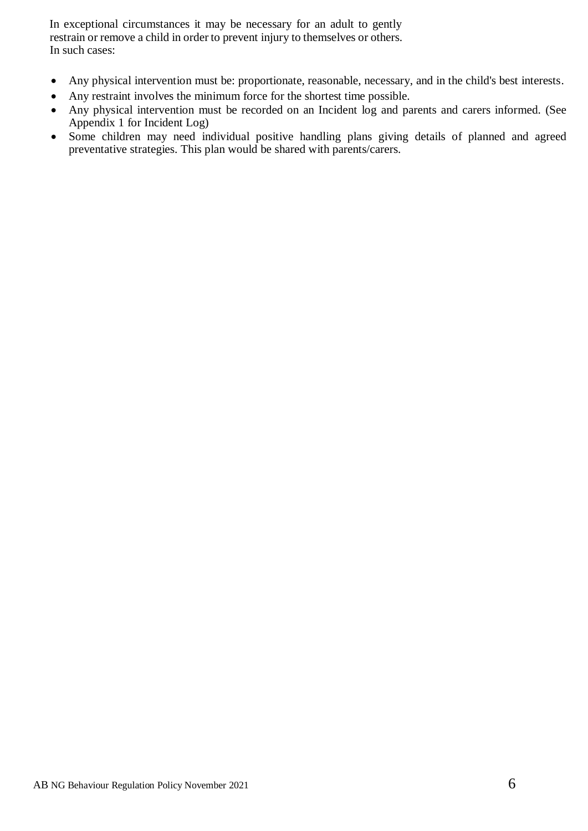In exceptional circumstances it may be necessary for an adult to gently restrain or remove a child in order to prevent injury to themselves or others. In such cases:

- Any physical intervention must be: proportionate, reasonable, necessary, and in the child's best interests.
- Any restraint involves the minimum force for the shortest time possible.
- Any physical intervention must be recorded on an Incident log and parents and carers informed. (See Appendix 1 for Incident Log)
- Some children may need individual positive handling plans giving details of planned and agreed preventative strategies. This plan would be shared with parents/carers.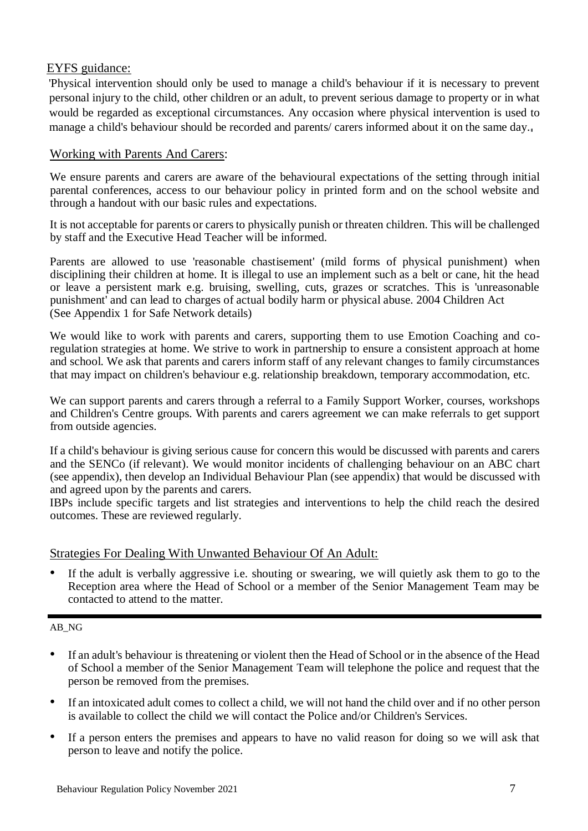#### EYFS guidance:

'Physical intervention should only be used to manage a child's behaviour if it is necessary to prevent personal injury to the child, other children or an adult, to prevent serious damage to property or in what would be regarded as exceptional circumstances. Any occasion where physical intervention is used to manage a child's behaviour should be recorded and parents/ carers informed about it on the same day.

#### Working with Parents And Carers:

We ensure parents and carers are aware of the behavioural expectations of the setting through initial parental conferences, access to our behaviour policy in printed form and on the school website and through a handout with our basic rules and expectations.

It is not acceptable for parents or carers to physically punish or threaten children. This will be challenged by staff and the Executive Head Teacher will be informed.

Parents are allowed to use 'reasonable chastisement' (mild forms of physical punishment) when disciplining their children at home. It is illegal to use an implement such as a belt or cane, hit the head or leave a persistent mark e.g. bruising, swelling, cuts, grazes or scratches. This is 'unreasonable punishment' and can lead to charges of actual bodily harm or physical abuse. 2004 Children Act (See Appendix 1 for Safe Network details)

We would like to work with parents and carers, supporting them to use Emotion Coaching and coregulation strategies at home. We strive to work in partnership to ensure a consistent approach at home and school. We ask that parents and carers inform staff of any relevant changes to family circumstances that may impact on children's behaviour e.g. relationship breakdown, temporary accommodation, etc.

We can support parents and carers through a referral to a Family Support Worker, courses, workshops and Children's Centre groups. With parents and carers agreement we can make referrals to get support from outside agencies.

If a child's behaviour is giving serious cause for concern this would be discussed with parents and carers and the SENCo (if relevant). We would monitor incidents of challenging behaviour on an ABC chart (see appendix), then develop an Individual Behaviour Plan (see appendix) that would be discussed with and agreed upon by the parents and carers.

IBPs include specific targets and list strategies and interventions to help the child reach the desired outcomes. These are reviewed regularly.

#### Strategies For Dealing With Unwanted Behaviour Of An Adult:

If the adult is verbally aggressive i.e. shouting or swearing, we will quietly ask them to go to the Reception area where the Head of School or a member of the Senior Management Team may be contacted to attend to the matter.

#### AB\_NG

- If an adult's behaviour is threatening or violent then the Head of School or in the absence of the Head of School a member of the Senior Management Team will telephone the police and request that the person be removed from the premises.
- If an intoxicated adult comes to collect a child, we will not hand the child over and if no other person is available to collect the child we will contact the Police and/or Children's Services.
- If a person enters the premises and appears to have no valid reason for doing so we will ask that person to leave and notify the police.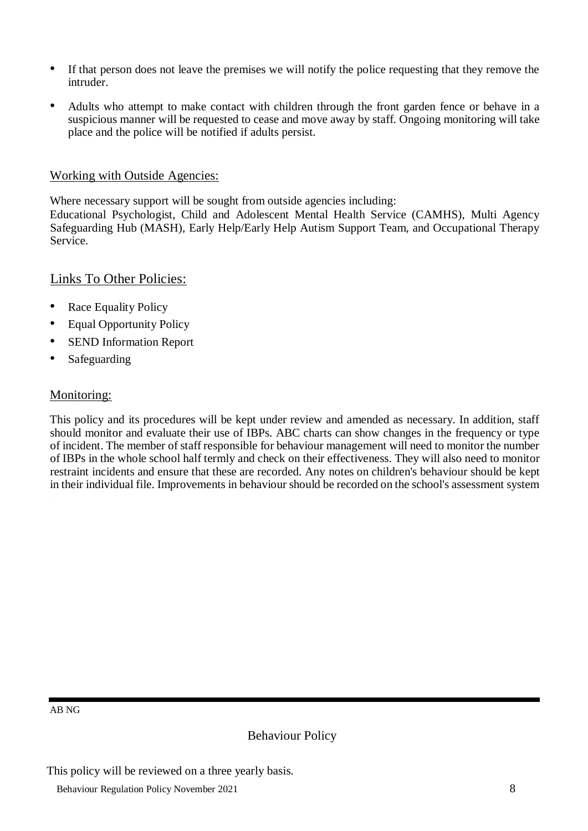- If that person does not leave the premises we will notify the police requesting that they remove the intruder.
- Adults who attempt to make contact with children through the front garden fence or behave in a suspicious manner will be requested to cease and move away by staff. Ongoing monitoring will take place and the police will be notified if adults persist.

#### Working with Outside Agencies:

Where necessary support will be sought from outside agencies including:

Educational Psychologist, Child and Adolescent Mental Health Service (CAMHS), Multi Agency Safeguarding Hub (MASH), Early Help/Early Help Autism Support Team, and Occupational Therapy Service.

#### Links To Other Policies:

- Race Equality Policy
- Equal Opportunity Policy
- SEND Information Report
- Safeguarding

#### Monitoring:

This policy and its procedures will be kept under review and amended as necessary. In addition, staff should monitor and evaluate their use of IBPs. ABC charts can show changes in the frequency or type of incident. The member of staff responsible for behaviour management will need to monitor the number of IBPs in the whole school half termly and check on their effectiveness. They will also need to monitor restraint incidents and ensure that these are recorded. Any notes on children's behaviour should be kept in their individual file. Improvements in behaviour should be recorded on the school's assessment system

AB NG

Behaviour Policy

This policy will be reviewed on a three yearly basis.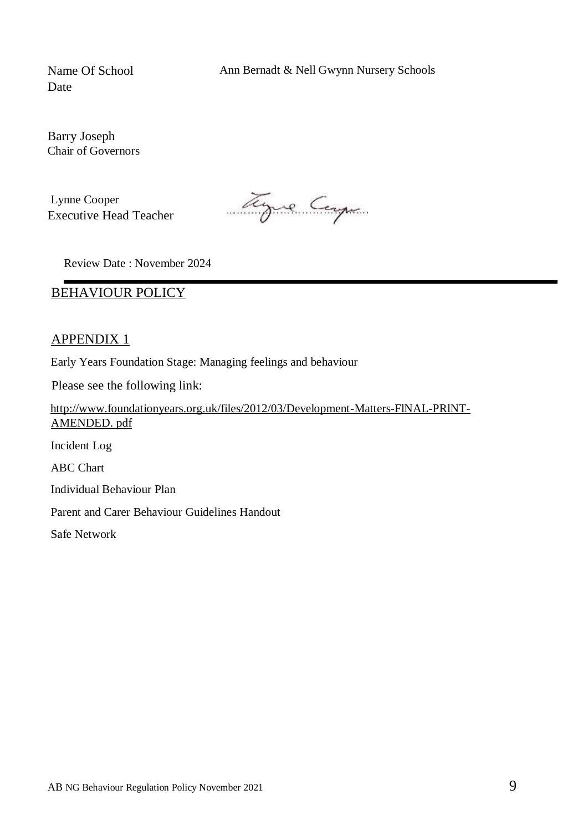Name Of School Ann Bernadt & Nell Gwynn Nursery Schools

Date

Barry Joseph Chair of Governors

Lynne Cooper Executive Head Teacher

Tyre Carp

Review Date : November 2024

#### BEHAVIOUR POLICY

#### APPENDIX 1

Early Years Foundation Stage: Managing feelings and behaviour

Please see the following link:

http://www.foundationyears.org.uk/files/2012/03/Development-Matters-FlNAL-PRlNT-AMENDED. pdf Incident Log ABC Chart Individual Behaviour Plan Parent and Carer Behaviour Guidelines Handout Safe Network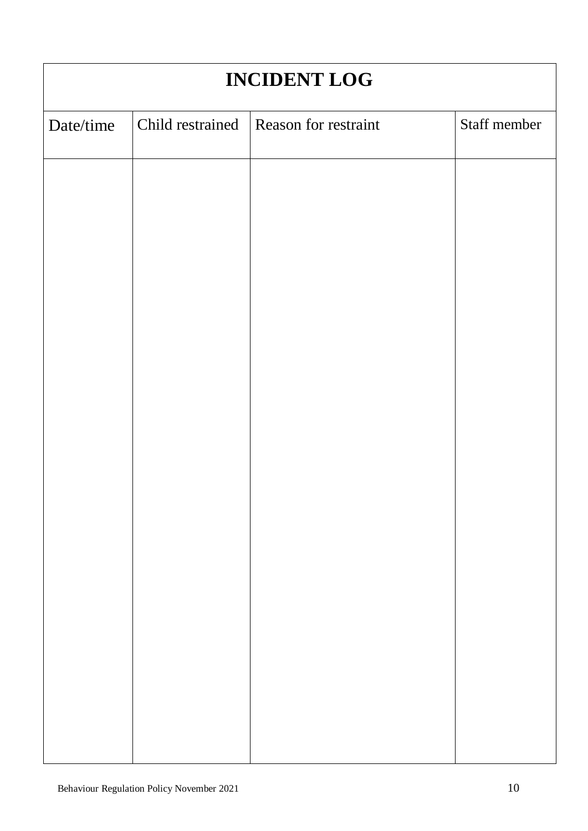| <b>INCIDENT LOG</b> |                      |              |  |  |  |  |  |
|---------------------|----------------------|--------------|--|--|--|--|--|
| Child restrained    | Reason for restraint | Staff member |  |  |  |  |  |
|                     |                      |              |  |  |  |  |  |
|                     |                      |              |  |  |  |  |  |
|                     |                      |              |  |  |  |  |  |
|                     |                      |              |  |  |  |  |  |
|                     |                      |              |  |  |  |  |  |
|                     |                      |              |  |  |  |  |  |
|                     |                      |              |  |  |  |  |  |
|                     |                      |              |  |  |  |  |  |
|                     |                      |              |  |  |  |  |  |
|                     |                      |              |  |  |  |  |  |
|                     |                      |              |  |  |  |  |  |
|                     |                      |              |  |  |  |  |  |
|                     |                      |              |  |  |  |  |  |
|                     |                      |              |  |  |  |  |  |
|                     |                      |              |  |  |  |  |  |
|                     |                      |              |  |  |  |  |  |
|                     |                      |              |  |  |  |  |  |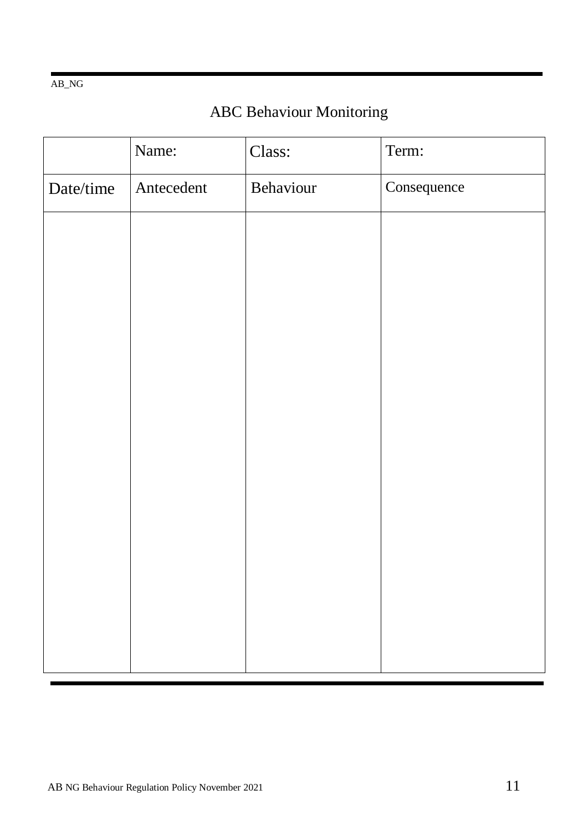#### AB\_NG

## ABC Behaviour Monitoring

|           | Name:      | Class:    | Term:       |
|-----------|------------|-----------|-------------|
| Date/time | Antecedent | Behaviour | Consequence |
|           |            |           |             |
|           |            |           |             |
|           |            |           |             |
|           |            |           |             |
|           |            |           |             |
|           |            |           |             |
|           |            |           |             |
|           |            |           |             |
|           |            |           |             |
|           |            |           |             |
|           |            |           |             |
|           |            |           |             |
|           |            |           |             |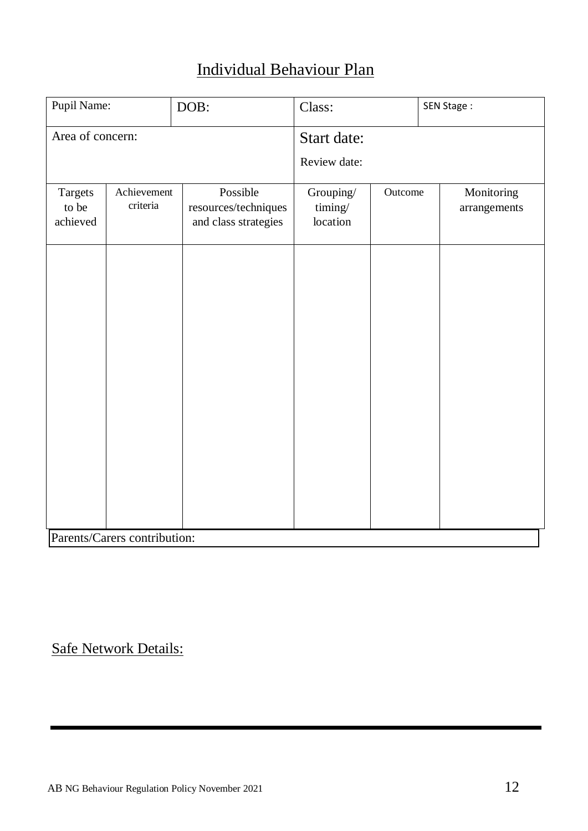## Individual Behaviour Plan

| Pupil Name:                  |                         | DOB:                                                     | Class:                           |         | SEN Stage:                 |  |  |
|------------------------------|-------------------------|----------------------------------------------------------|----------------------------------|---------|----------------------------|--|--|
| Area of concern:             |                         |                                                          | Start date:<br>Review date:      |         |                            |  |  |
| Targets<br>to be<br>achieved | Achievement<br>criteria | Possible<br>resources/techniques<br>and class strategies | Grouping/<br>timing/<br>location | Outcome | Monitoring<br>arrangements |  |  |
|                              |                         |                                                          |                                  |         |                            |  |  |
|                              |                         |                                                          |                                  |         |                            |  |  |
|                              |                         |                                                          |                                  |         |                            |  |  |
|                              |                         |                                                          |                                  |         |                            |  |  |
|                              |                         |                                                          |                                  |         |                            |  |  |
| Parents/Carers contribution: |                         |                                                          |                                  |         |                            |  |  |

## Safe Network Details: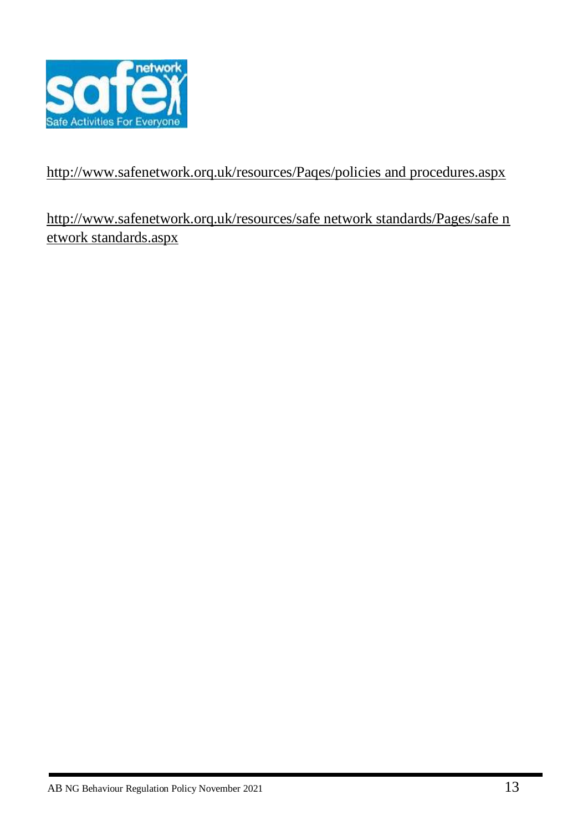

## http://www.safenetwork.orq.uk/resources/Paqes/policies and procedures.aspx

### http://www.safenetwork.orq.uk/resources/safe network standards/Pages/safe n etwork standards.aspx